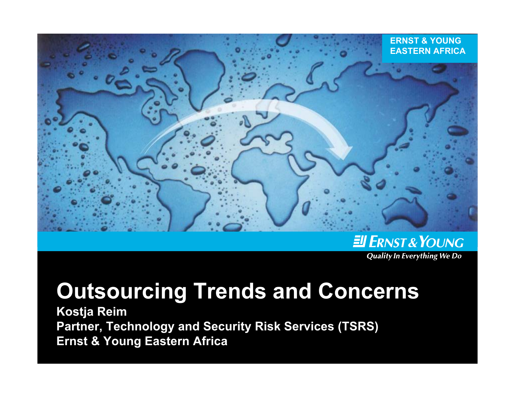

ENST& YOUNG **Quality In Everything We Do** 

# **Outsourcing Trends and Concerns**

**Kostja Reim Partner, Technology and Security Risk Services (TSRS) Ernst & Young Eastern Africa**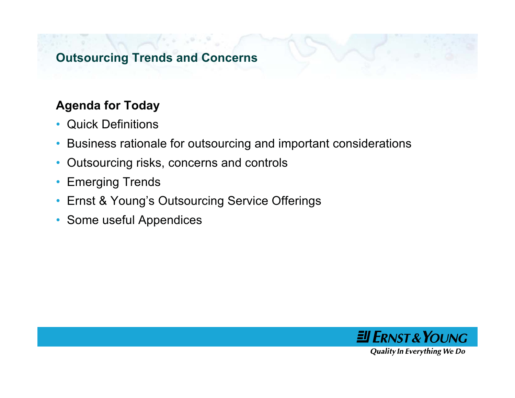#### **Outsourcing Trends and Concerns**

## **Agenda for Today**

- Quick Definitions
- •Business rationale for outsourcing and important considerations
- •Outsourcing risks, concerns and controls
- •Emerging Trends
- Ernst & Young's Outsourcing Service Offerings
- Some useful Appendices

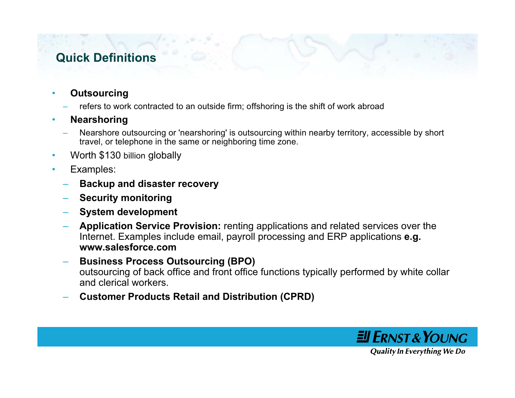## **Quick Definitions**

#### •**Outsourcing**

refers to work contracted to an outside firm; offshoring is the shift of work abroad

#### •**Nearshoring**

- Nearshore outsourcing or 'nearshoring' is outsourcing within nearby territory, accessible by short travel, or telephone in the same or neighboring time zone.
- •Worth \$130 billion globally
- • Examples:
	- **Backup and disaster recovery**
	- **Security monitoring**
	- **System development**
	- **Application Service Provision:** renting applications and related services over the Internet. Examples include email, payroll processing and ERP applications **e.g. www.salesforce.com**
	- **Business Process Outsourcing (BPO)** outsourcing of back office and front office functions typically performed by white collar and clerical workers.
	- **Customer Products Retail and Distribution (CPRD)**

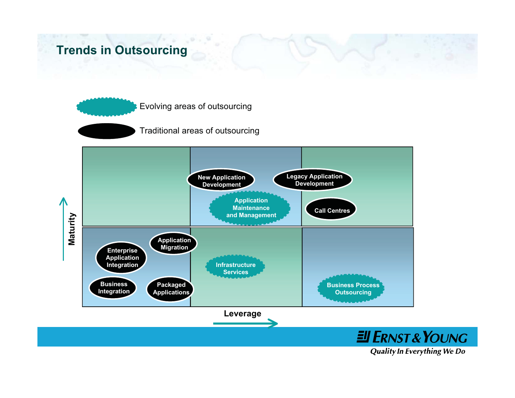#### **Trends in Outsourcing**



Traditional areas of outsourcing

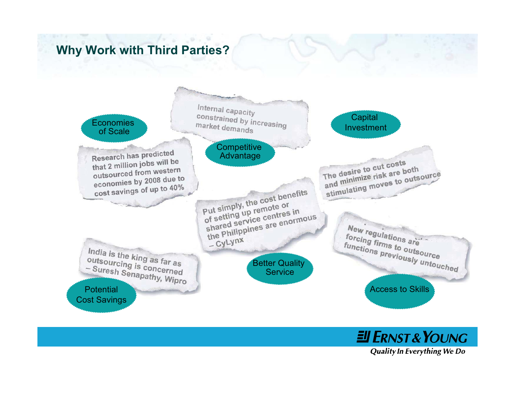## **Why Work with Third Parties?**



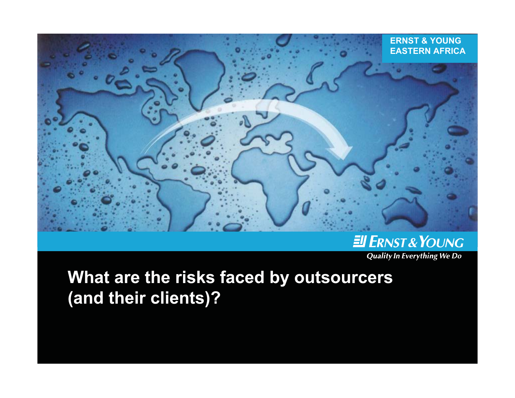

#### ENST& YOUNG **Quality In Everything We Do**

# **What are the risks faced by outsourcers (and their clients)?**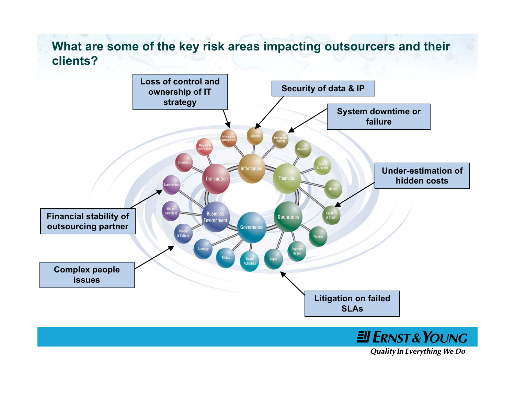#### **What are some of the key risk areas impacting outsourcers and their clients?**



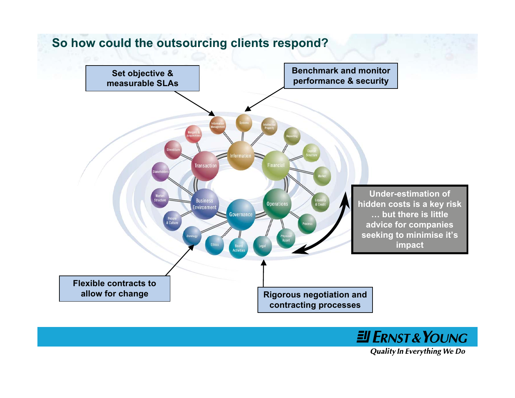



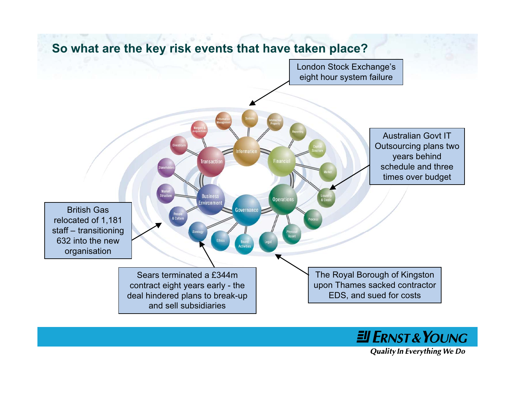

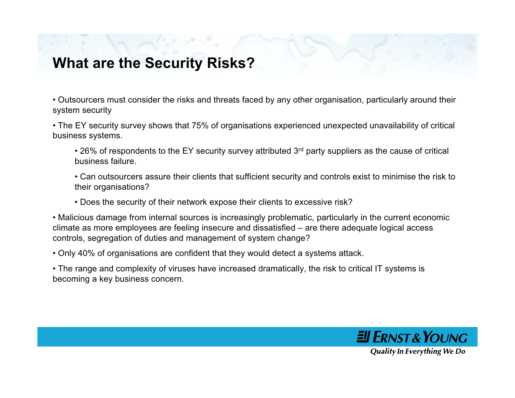## **What are the Security Risks?**

• Outsourcers must consider the risks and threats faced by any other organisation, particularly around their system security

• The EY security survey shows that 75% of organisations experienced unexpected unavailability of critical business systems.

 $\cdot$  26% of respondents to the EY security survey attributed 3<sup>rd</sup> party suppliers as the cause of critical business failure.

• Can outsourcers assure their clients that sufficient security and controls exist to minimise the risk to their organisations?

• Does the security of their network expose their clients to excessive risk?

• Malicious damage from internal sources is increasingly problematic, particularly in the current economic climate as more employees are feeling insecure and dissatisfied – are there adequate logical access controls, segregation of duties and management of system change?

• Only 40% of organisations are confident that they would detect a systems attack.

• The range and complexity of viruses have increased dramatically, the risk to critical IT systems is becoming a key business concern.

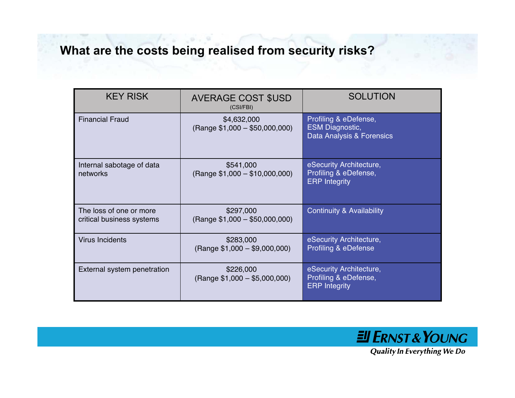## **What are the costs being realised from security risks?**

| <b>KEY RISK</b>                                      | <b>AVERAGE COST \$USD</b><br>(CSI/FBI)        | <b>SOLUTION</b>                                                              |
|------------------------------------------------------|-----------------------------------------------|------------------------------------------------------------------------------|
| <b>Financial Fraud</b>                               | \$4,632,000<br>$(Range $1,000 - $50,000,000)$ | Profiling & eDefense,<br><b>ESM Diagnostic,</b><br>Data Analysis & Forensics |
| Internal sabotage of data<br>networks                | \$541,000<br>$(Range $1,000 - $10,000,000)$   | eSecurity Architecture,<br>Profiling & eDefense,<br><b>ERP Integrity</b>     |
| The loss of one or more<br>critical business systems | \$297,000<br>$(Range $1,000 - $50,000,000)$   | <b>Continuity &amp; Availability</b>                                         |
| <b>Virus Incidents</b>                               | \$283,000<br>$(Range $1,000 - $9,000,000)$    | eSecurity Architecture,<br><b>Profiling &amp; eDefense</b>                   |
| External system penetration                          | \$226,000<br>$(Range $1,000 - $5,000,000)$    | eSecurity Architecture,<br>Profiling & eDefense,<br><b>ERP</b> Integrity     |

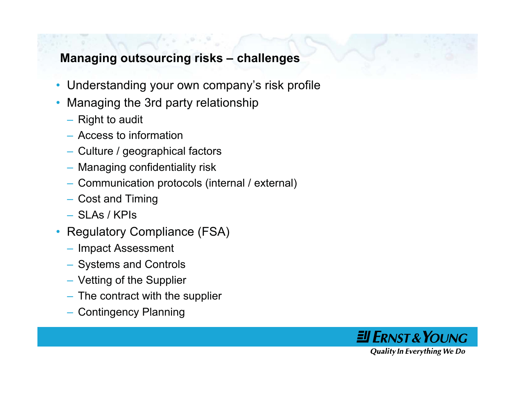#### **Managing outsourcing risks – challenges**

- Understanding your own company's risk profile
- • Managing the 3rd party relationship
	- Right to audit
	- Access to information
	- Culture / geographical factors
	- Managing confidentiality risk
	- Communication protocols (internal / external)
	- Cost and Timing
	- SLAs / KPIs
- Regulatory Compliance (FSA)
	- Impact Assessment
	- Systems and Controls
	- Vetting of the Supplier
	- The contract with the supplier
	- Contingency Planning

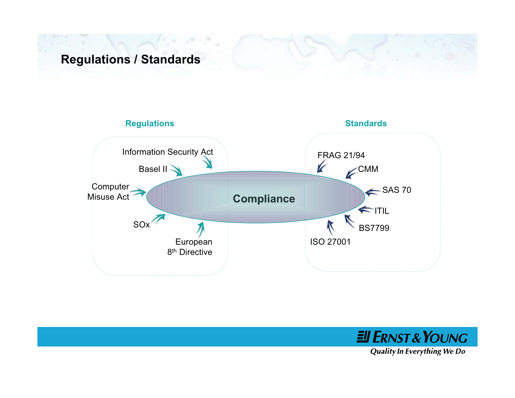## **Regulations / Standards**



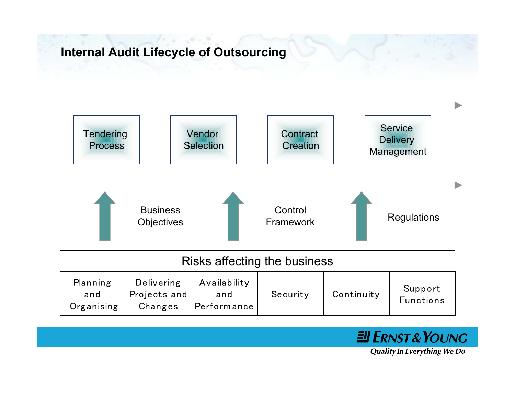#### **Internal Audit Lifecycle of Outsourcing**



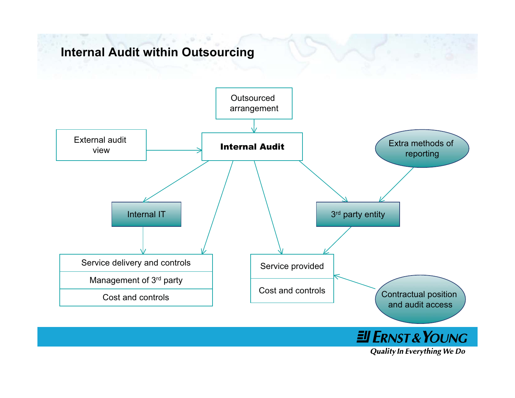## **Internal Audit within Outsourcing**

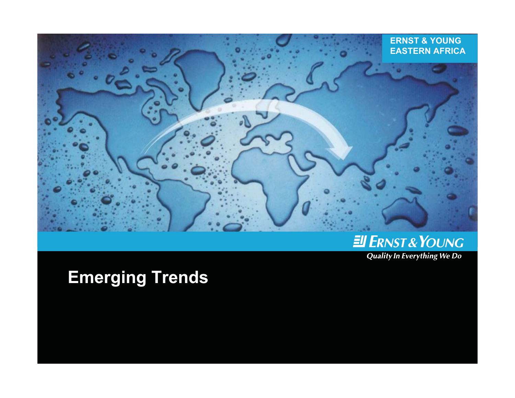

## ENST& YOUNG

**Quality In Everything We Do** 

# **Emerging Trends**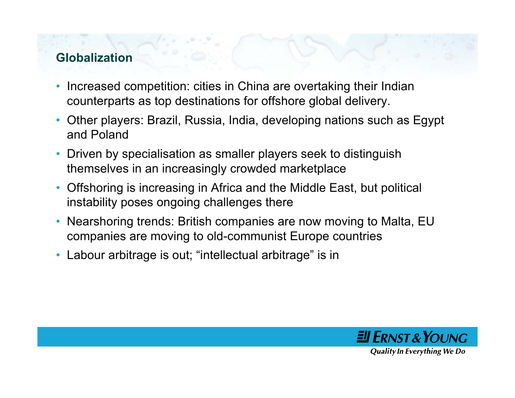## **Globalization**

- • Increased competition: cities in China are overtaking their Indian counterparts as top destinations for offshore global delivery.
- Other players: Brazil, Russia, India, developing nations such as Egypt and Poland
- $\bullet$  Driven by specialisation as smaller players seek to distinguish themselves in an increasingly crowded marketplace
- • Offshoring is increasing in Africa and the Middle East, but political instability poses ongoing challenges there
- • Nearshoring trends: British companies are now moving to Malta, EU companies are moving to old-communist Europe countries
- •Labour arbitrage is out; "intellectual arbitrage" is in

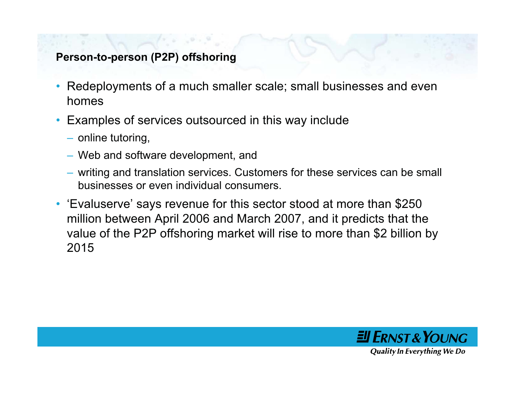#### **Person-to-person (P2P) offshoring**

- • Redeployments of a much smaller scale; small businesses and even homes
- Examples of services outsourced in this way include
	- online tutoring,
	- Web and software development, and
	- writing and translation services. Customers for these services can be small businesses or even individual consumers.
- 'Evaluserve' says revenue for this sector stood at more than \$250 million between April 2006 and March 2007, and it predicts that the value of the P2P offshoring market will rise to more than \$2 billion by 2015

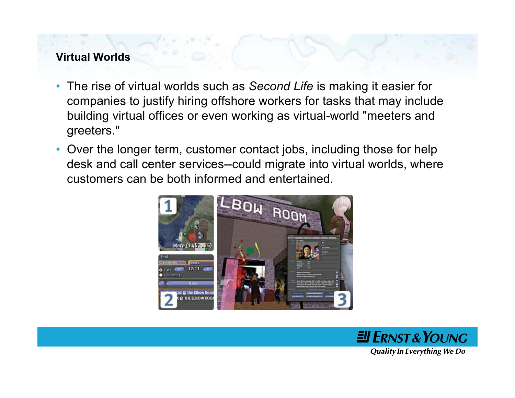#### **Virtual Worlds**

- $\bullet$  The rise of virtual worlds such as *Second Life* is making it easier for companies to justify hiring offshore workers for tasks that may include building virtual offices or even working as virtual-world "meeters and greeters."
- Over the longer term, customer contact jobs, including those for help desk and call center services--could migrate into virtual worlds, where customers can be both informed and entertained.



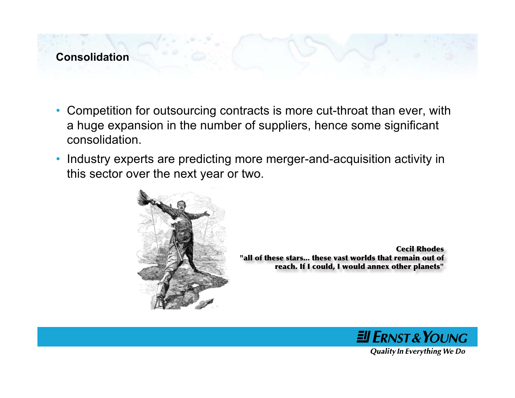#### **Consolidation**

- Competition for outsourcing contracts is more cut-throat than ever, with a huge expansion in the number of suppliers, hence some significant consolidation.
- • Industry experts are predicting more merger-and-acquisition activity in this sector over the next year or two.



**Cecil Rhodes"all of these stars... these vast worlds that remain out ofreach. If I could, I would annex other planets"**

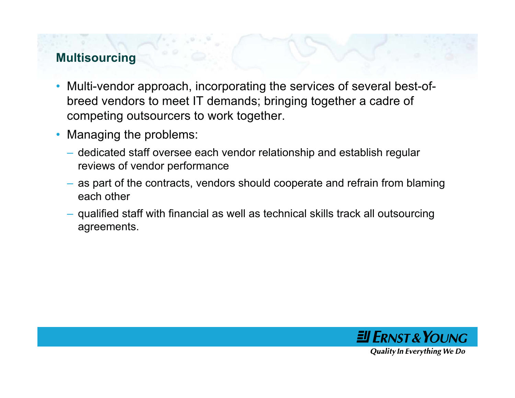#### **Multisourcing**

- $\bullet$  Multi-vendor approach, incorporating the services of several best-ofbreed vendors to meet IT demands; bringing together a cadre of competing outsourcers to work together.
- • Managing the problems:
	- dedicated staff oversee each vendor relationship and establish regular reviews of vendor performance
	- as part of the contracts, vendors should cooperate and refrain from blaming each other
	- qualified staff with financial as well as technical skills track all outsourcing agreements.

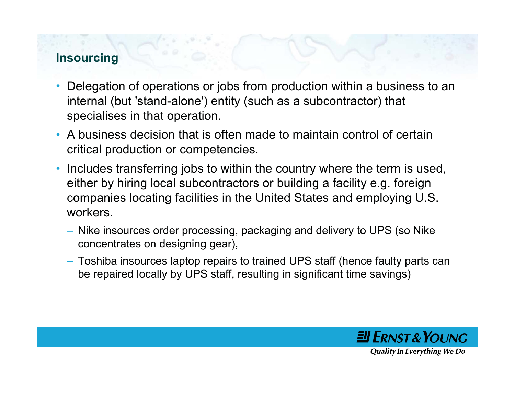#### **Insourcing**

- • Delegation of operations or jobs from production within a business to an internal (but 'stand-alone') entity (such as a subcontractor) that specialises in that operation.
- A business decision that is often made to maintain control of certaincritical production or competencies.
- $\bullet$  Includes transferring jobs to within the country where the term is used, either by hiring local subcontractors or building a facility e.g. foreign companies locating facilities in the United States and employing U.S. workers.
	- Nike insources order processing, packaging and delivery to UPS (so Nike concentrates on designing gear),
	- Toshiba insources laptop repairs to trained UPS staff (hence faulty parts can be repaired locally by UPS staff, resulting in significant time savings)

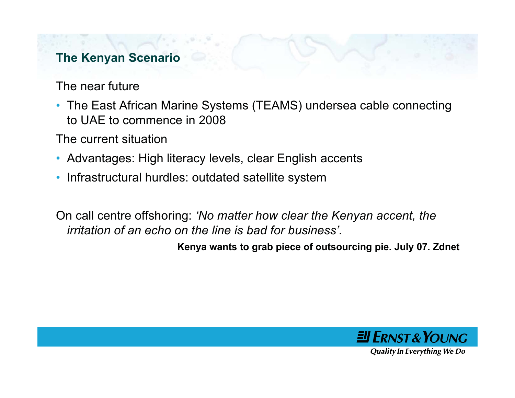#### **The Kenyan Scenario**

The near future

• The East African Marine Systems (TEAMS) undersea cable connecting to UAE to commence in 2008

The current situation

- Advantages: High literacy levels, clear English accents
- •Infrastructural hurdles: outdated satellite system

On call centre offshoring: *'No matter how clear the Kenyan accent, the irritation of an echo on the line is bad for business'.*

**Kenya wants to grab piece of outsourcing pie. July 07. Zdnet**

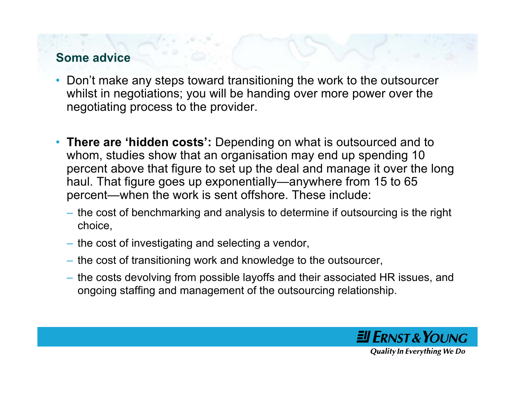#### **Some advice**

- Don't make any steps toward transitioning the work to the outsourcer whilst in negotiations; you will be handing over more power over the negotiating process to the provider.
- **There are 'hidden costs':** Depending on what is outsourced and to whom, studies show that an organisation may end up spending 10 percent above that figure to set up the deal and manage it over the long haul. That figure goes up exponentially—anywhere from 15 to 65 percent—when the work is sent offshore. These include:
	- the cost of benchmarking and analysis to determine if outsourcing is the right choice,
	- the cost of investigating and selecting a vendor,
	- the cost of transitioning work and knowledge to the outsourcer,
	- the costs devolving from possible layoffs and their associated HR issues, and ongoing staffing and management of the outsourcing relationship.

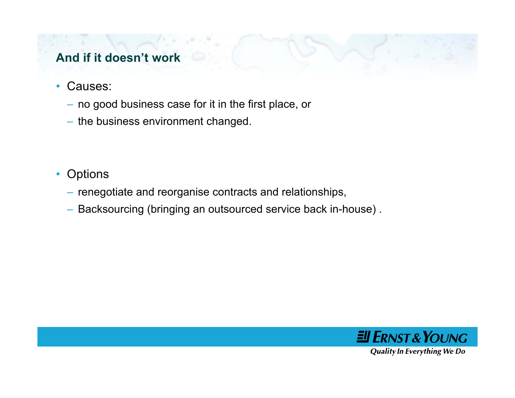## **And if it doesn't work**

- • Causes:
	- no good business case for it in the first place, or
	- the business environment changed.
- Options
	- renegotiate and reorganise contracts and relationships,
	- Backsourcing (bringing an outsourced service back in-house) .

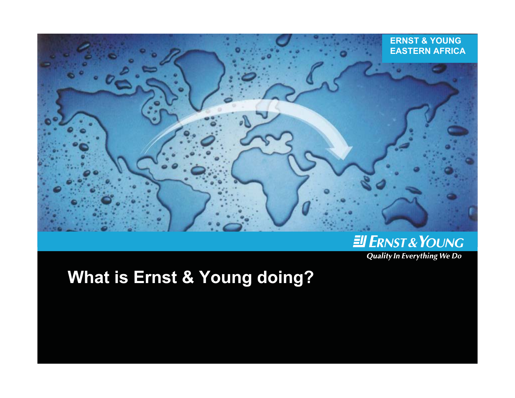

# ENST& YOUNG

**Quality In Everything We Do** 

**What is Ernst & Young doing?**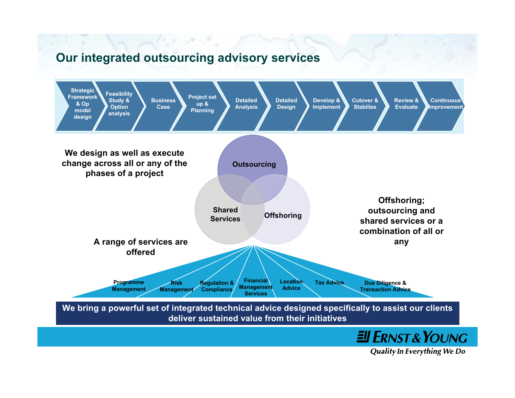#### **Our integrated outsourcing advisory services**

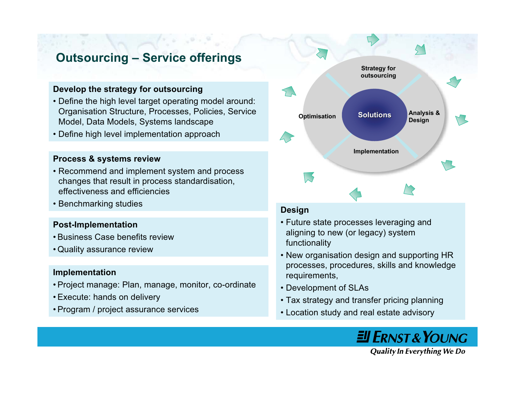#### **Outsourcing – Service offerings**

#### **Develop the strategy for outsourcing**

- Define the high level target operating model around: Organisation Structure, Processes, Policies, Service Model, Data Models, Systems landscape
- Define high level implementation approach

#### **Process & systems review**

- Recommend and implement system and process changes that result in process standardisation, effectiveness and efficiencies
- Benchmarking studies

#### **Post-Implementation**

- Business Case benefits review
- Quality assurance review

#### **Implementation**

- Project manage: Plan, manage, monitor, co-ordinate
- Execute: hands on delivery
- Program / project assurance services



#### **Design**

- Future state processes leveraging and aligning to new (or legacy) system functionality
- New organisation design and supporting HR processes, procedures, skills and knowledge requirements,
- Development of SLAs
- Tax strategy and transfer pricing planning
- Location study and real estate advisory

**JI ERNST & YOUNG**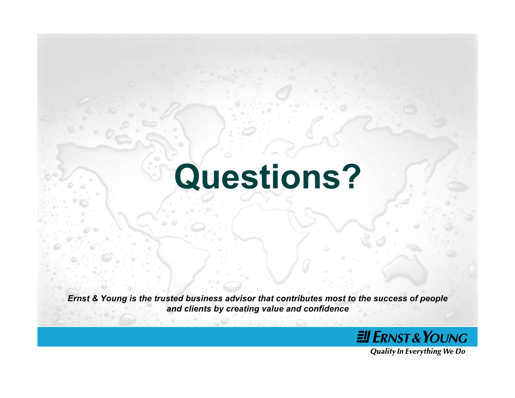# **Questions?**

*Ernst & Young is the trusted business advisor that contributes most to the success of people and clients by creating value and confidence*

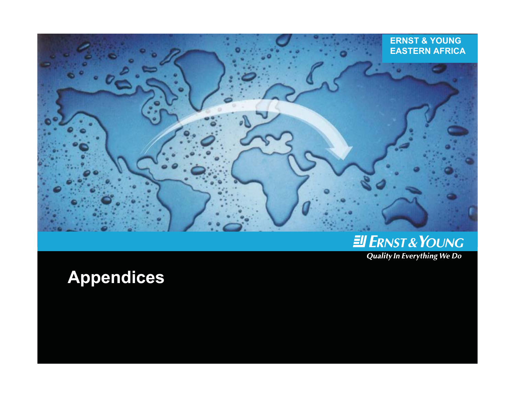



**Quality In Everything We Do** 

# **Appendices**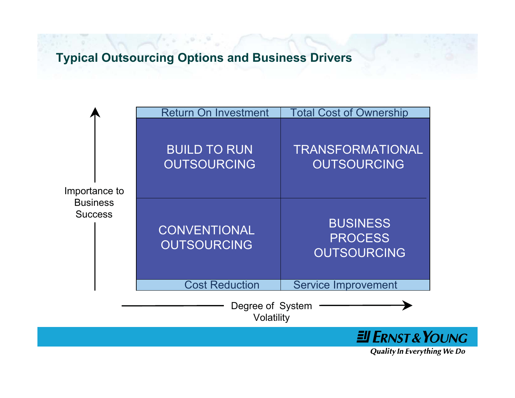#### **Typical Outsourcing Options and Business Drivers**

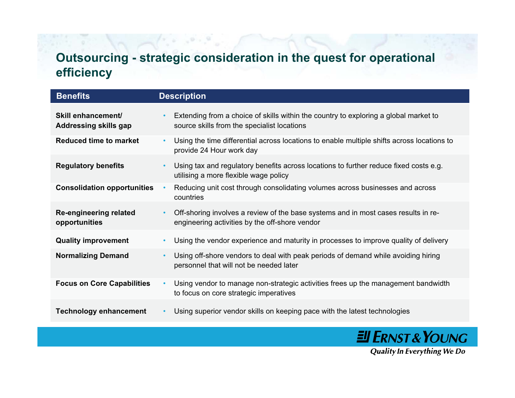## **Outsourcing - strategic consideration in the quest for operational efficiency**

| <b>Benefits</b>                                    | <b>Description</b>                                                                                                                                |
|----------------------------------------------------|---------------------------------------------------------------------------------------------------------------------------------------------------|
| Skill enhancement/<br><b>Addressing skills gap</b> | Extending from a choice of skills within the country to exploring a global market to<br>$\bullet$<br>source skills from the specialist locations  |
| <b>Reduced time to market</b>                      | Using the time differential across locations to enable multiple shifts across locations to<br>$\bullet$<br>provide 24 Hour work day               |
| <b>Regulatory benefits</b>                         | Using tax and regulatory benefits across locations to further reduce fixed costs e.g.<br>$\bullet$<br>utilising a more flexible wage policy       |
| <b>Consolidation opportunities</b>                 | Reducing unit cost through consolidating volumes across businesses and across<br>$\bullet$<br>countries                                           |
| <b>Re-engineering related</b><br>opportunities     | Off-shoring involves a review of the base systems and in most cases results in re-<br>$\bullet$<br>engineering activities by the off-shore vendor |
| <b>Quality improvement</b>                         | Using the vendor experience and maturity in processes to improve quality of delivery<br>$\bullet$                                                 |
| <b>Normalizing Demand</b>                          | Using off-shore vendors to deal with peak periods of demand while avoiding hiring<br>$\bullet$<br>personnel that will not be needed later         |
| <b>Focus on Core Capabilities</b>                  | Using vendor to manage non-strategic activities frees up the management bandwidth<br>$\bullet$<br>to focus on core strategic imperatives          |
| <b>Technology enhancement</b>                      | Using superior vendor skills on keeping pace with the latest technologies<br>$\bullet$                                                            |

**El ERNST & YOUNG**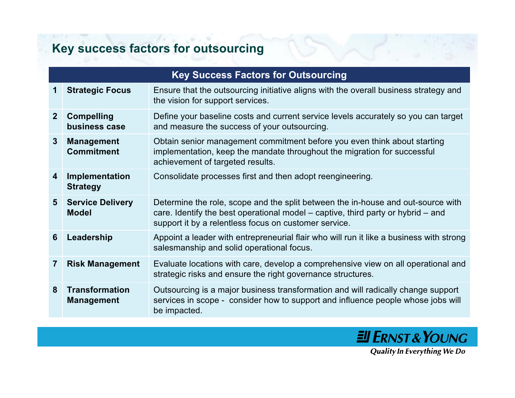# **Key success factors for outsourcing**

|                | <b>Key Success Factors for Outsourcing</b> |                                                                                                                                                                                                                                   |  |  |  |
|----------------|--------------------------------------------|-----------------------------------------------------------------------------------------------------------------------------------------------------------------------------------------------------------------------------------|--|--|--|
| 1              | <b>Strategic Focus</b>                     | Ensure that the outsourcing initiative aligns with the overall business strategy and<br>the vision for support services.                                                                                                          |  |  |  |
| 2 <sup>1</sup> | <b>Compelling</b><br>business case         | Define your baseline costs and current service levels accurately so you can target<br>and measure the success of your outsourcing.                                                                                                |  |  |  |
| 3 <sup>°</sup> | <b>Management</b><br><b>Commitment</b>     | Obtain senior management commitment before you even think about starting<br>implementation, keep the mandate throughout the migration for successful<br>achievement of targeted results.                                          |  |  |  |
| 4              | Implementation<br><b>Strategy</b>          | Consolidate processes first and then adopt reengineering.                                                                                                                                                                         |  |  |  |
| 5 <sup>5</sup> | <b>Service Delivery</b><br><b>Model</b>    | Determine the role, scope and the split between the in-house and out-source with<br>care. Identify the best operational model $-$ captive, third party or hybrid $-$ and<br>support it by a relentless focus on customer service. |  |  |  |
| 6              | Leadership                                 | Appoint a leader with entrepreneurial flair who will run it like a business with strong<br>salesmanship and solid operational focus.                                                                                              |  |  |  |
| 7              | <b>Risk Management</b>                     | Evaluate locations with care, develop a comprehensive view on all operational and<br>strategic risks and ensure the right governance structures.                                                                                  |  |  |  |
| 8              | <b>Transformation</b><br><b>Management</b> | Outsourcing is a major business transformation and will radically change support<br>services in scope - consider how to support and influence people whose jobs will<br>be impacted.                                              |  |  |  |

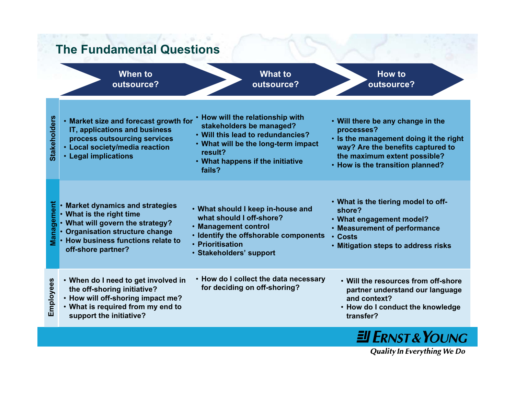#### **The Fundamental Questions**

**When tooutsource?**

**What tooutsource?**

**How tooutsource?**

• **How will the relationship with Stakeholders Stakeholders** • **Market size and forecast growth for** • **Will there be any change in the stakeholders be managed? IT, applications and business processes?** • **Will this lead to redundancies?process outsourcing services** • **Is the management doing it the right** • **What will be the long-term impact way? Are the benefits captured to** • **Local society/media reaction result?the maximum extent possible?** • **Legal implications** • **What happens if the initiative** • **How is the transition planned? fails?**• **What is the tiering model to off-**Management **Management Market dynamics and strategies** •• **What should I keep in-house and shore?**• **What is the right time what should I off-shore?**• **What engagement model?** • **What will govern the strategy?** • **Management control** • **Measurement of performance Organisation structure change** •• **Identify the offshorable components** • **Costs How business functions relate to**•• **Prioritisation**• **Mitigation steps to address risks off-shore partner?** • **Stakeholders' support** • **How do I collect the data necessary** Employees • **When do I need to get involved in** • **Will the resources from off-shoreEmployees for deciding on off-shoring? the off-shoring initiative? partner understand our language** • **How will off-shoring impact me? and context?**• **What is required from my end to** • **How do I conduct the knowledge support the initiative? transfer?**

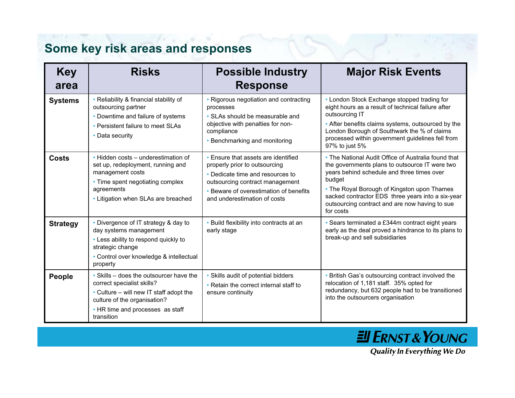# **Some key risk areas and responses**

| <b>Key</b><br>area | <b>Risks</b>                                                                                                                                                                                       | <b>Possible Industry</b><br><b>Response</b>                                                                                                                                                                           | <b>Major Risk Events</b>                                                                                                                                                                                                                                                                                                         |
|--------------------|----------------------------------------------------------------------------------------------------------------------------------------------------------------------------------------------------|-----------------------------------------------------------------------------------------------------------------------------------------------------------------------------------------------------------------------|----------------------------------------------------------------------------------------------------------------------------------------------------------------------------------------------------------------------------------------------------------------------------------------------------------------------------------|
| <b>Systems</b>     | • Reliability & financial stability of<br>outsourcing partner<br>• Downtime and failure of systems<br>• Persistent failure to meet SLAs<br>• Data security                                         | • Rigorous negotiation and contracting<br>processes<br>• SLAs should be measurable and<br>objective with penalties for non-<br>compliance<br>• Benchmarking and monitoring                                            | • London Stock Exchange stopped trading for<br>eight hours as a result of technical failure after<br>outsourcing IT<br>• After benefits claims systems, outsourced by the<br>London Borough of Southwark the % of claims<br>processed within government guidelines fell from<br>97% to just 5%                                   |
| <b>Costs</b>       | • Hidden costs – underestimation of<br>set up, redeployment, running and<br>management costs<br>• Time spent negotiating complex<br>agreements<br>• Litigation when SLAs are breached              | • Ensure that assets are identified<br>properly prior to outsourcing<br>• Dedicate time and resources to<br>outsourcing contract management<br>• Beware of overestimation of benefits<br>and underestimation of costs | • The National Audit Office of Australia found that<br>the governments plans to outsource IT were two<br>years behind schedule and three times over<br>budget<br>• The Royal Borough of Kingston upon Thames<br>sacked contractor EDS three years into a six-year<br>outsourcing contract and are now having to sue<br>for costs |
| <b>Strategy</b>    | • Divergence of IT strategy & day to<br>day systems management<br>• Less ability to respond quickly to<br>strategic change<br>• Control over knowledge & intellectual<br>property                  | • Build flexibility into contracts at an<br>early stage                                                                                                                                                               | • Sears terminated a £344m contract eight years<br>early as the deal proved a hindrance to its plans to<br>break-up and sell subsidiaries                                                                                                                                                                                        |
| People             | • Skills – does the outsourcer have the<br>correct specialist skills?<br>• Culture – will new IT staff adopt the<br>culture of the organisation?<br>• HR time and processes as staff<br>transition | • Skills audit of potential bidders<br>• Retain the correct internal staff to<br>ensure continuity                                                                                                                    | • British Gas's outsourcing contract involved the<br>relocation of 1,181 staff. 35% opted for<br>redundancy, but 632 people had to be transitioned<br>into the outsourcers organisation                                                                                                                                          |

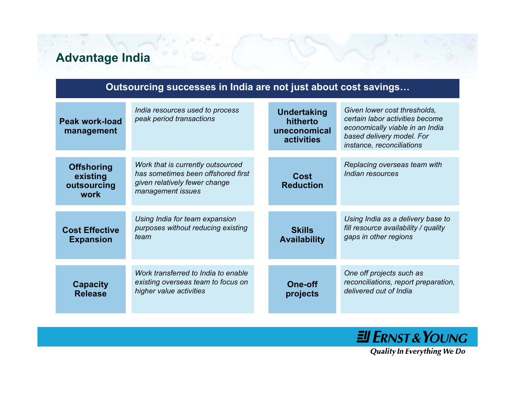## **Advantage India**

| Outsourcing successes in India are not just about cost savings |                                                                                                                               |  |                                                              |                                                                                                                                                              |  |  |
|----------------------------------------------------------------|-------------------------------------------------------------------------------------------------------------------------------|--|--------------------------------------------------------------|--------------------------------------------------------------------------------------------------------------------------------------------------------------|--|--|
| <b>Peak work-load</b><br>management                            | India resources used to process<br>peak period transactions                                                                   |  | <b>Undertaking</b><br>hitherto<br>uneconomical<br>activities | Given lower cost thresholds,<br>certain labor activities become<br>economically viable in an India<br>based delivery model. For<br>instance, reconciliations |  |  |
| <b>Offshoring</b><br>existing<br>outsourcing<br>work           | Work that is currently outsourced<br>has sometimes been offshored first<br>given relatively fewer change<br>management issues |  | Cost<br><b>Reduction</b>                                     | Replacing overseas team with<br>Indian resources                                                                                                             |  |  |
| <b>Cost Effective</b><br><b>Expansion</b>                      | Using India for team expansion<br>purposes without reducing existing<br>team                                                  |  | <b>Skills</b><br><b>Availability</b>                         | Using India as a delivery base to<br>fill resource availability / quality<br>gaps in other regions                                                           |  |  |
| <b>Capacity</b><br><b>Release</b>                              | Work transferred to India to enable<br>existing overseas team to focus on<br>higher value activities                          |  | <b>One-off</b><br>projects                                   | One off projects such as<br>reconciliations, report preparation,<br>delivered out of India                                                                   |  |  |